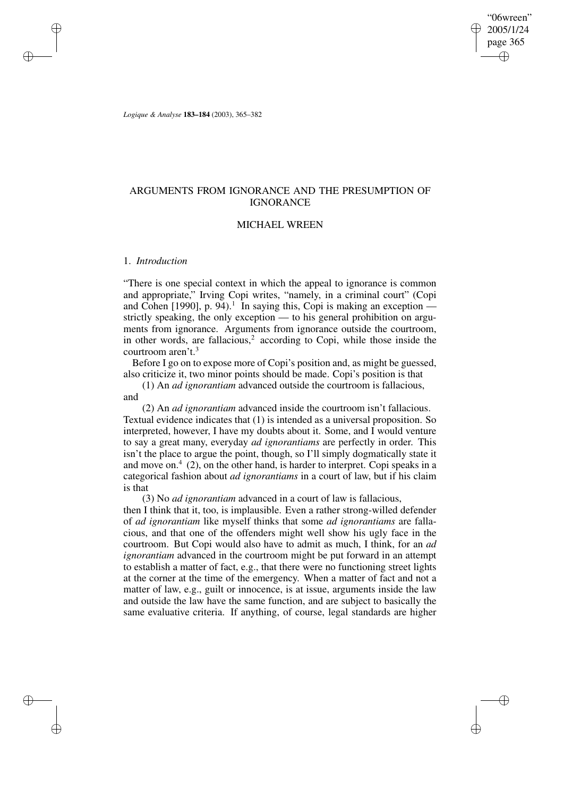"06wreen" 2005/1/24 page 365 ✐ ✐

✐

✐

*Logique & Analyse* **183–184** (2003), 365–382

# ARGUMENTS FROM IGNORANCE AND THE PRESUMPTION OF IGNORANCE

### MICHAEL WREEN

# 1. *Introduction*

✐

✐

✐

✐

"There is one special context in which the appeal to ignorance is common and appropriate," Irving Copi writes, "namely, in a criminal court" (Copi and Cohen [1990], p. 94).<sup>1</sup> In saying this, Copi is making an exception  $$ strictly speaking, the only exception — to his general prohibition on arguments from ignorance. Arguments from ignorance outside the courtroom, in other words, are fallacious, $2$  according to Copi, while those inside the courtroom aren't.<sup>3</sup>

Before I go on to expose more of Copi's position and, as might be guessed, also criticize it, two minor points should be made. Copi's position is that

(1) An *ad ignorantiam* advanced outside the courtroom is fallacious, and

(2) An *ad ignorantiam* advanced inside the courtroom isn't fallacious. Textual evidence indicates that (1) is intended as a universal proposition. So interpreted, however, I have my doubts about it. Some, and I would venture to say a great many, everyday *ad ignorantiams* are perfectly in order. This isn't the place to argue the point, though, so I'll simply dogmatically state it and move on. $4$  (2), on the other hand, is harder to interpret. Copi speaks in a categorical fashion about *ad ignorantiams* in a court of law, but if his claim is that

(3) No *ad ignorantiam* advanced in a court of law is fallacious,

then I think that it, too, is implausible. Even a rather strong-willed defender of *ad ignorantiam* like myself thinks that some *ad ignorantiams* are fallacious, and that one of the offenders might well show his ugly face in the courtroom. But Copi would also have to admit as much, I think, for an *ad ignorantiam* advanced in the courtroom might be put forward in an attempt to establish a matter of fact, e.g., that there were no functioning street lights at the corner at the time of the emergency. When a matter of fact and not a matter of law, e.g., guilt or innocence, is at issue, arguments inside the law and outside the law have the same function, and are subject to basically the same evaluative criteria. If anything, of course, legal standards are higher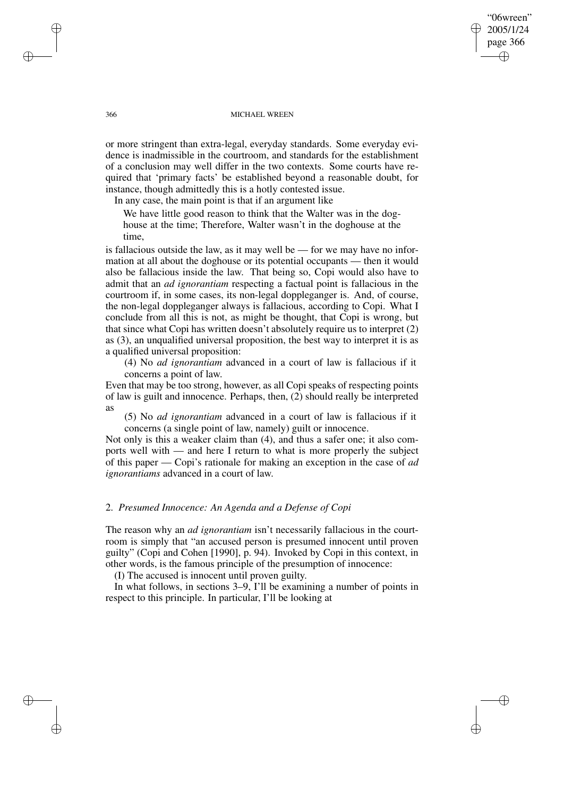"06wreen" 2005/1/24 page 366 ✐ ✐

✐

✐

#### 366 MICHAEL WREEN

or more stringent than extra-legal, everyday standards. Some everyday evidence is inadmissible in the courtroom, and standards for the establishment of a conclusion may well differ in the two contexts. Some courts have required that 'primary facts' be established beyond a reasonable doubt, for instance, though admittedly this is a hotly contested issue.

In any case, the main point is that if an argument like

We have little good reason to think that the Walter was in the doghouse at the time; Therefore, Walter wasn't in the doghouse at the time,

is fallacious outside the law, as it may well be — for we may have no information at all about the doghouse or its potential occupants — then it would also be fallacious inside the law. That being so, Copi would also have to admit that an *ad ignorantiam* respecting a factual point is fallacious in the courtroom if, in some cases, its non-legal doppleganger is. And, of course, the non-legal doppleganger always is fallacious, according to Copi. What I conclude from all this is not, as might be thought, that Copi is wrong, but that since what Copi has written doesn't absolutely require us to interpret (2) as (3), an unqualified universal proposition, the best way to interpret it is as a qualified universal proposition:

(4) No *ad ignorantiam* advanced in a court of law is fallacious if it concerns a point of law.

Even that may be too strong, however, as all Copi speaks of respecting points of law is guilt and innocence. Perhaps, then, (2) should really be interpreted as

(5) No *ad ignorantiam* advanced in a court of law is fallacious if it concerns (a single point of law, namely) guilt or innocence.

Not only is this a weaker claim than (4), and thus a safer one; it also comports well with — and here I return to what is more properly the subject of this paper — Copi's rationale for making an exception in the case of *ad ignorantiams* advanced in a court of law.

### 2. *Presumed Innocence: An Agenda and a Defense of Copi*

The reason why an *ad ignorantiam* isn't necessarily fallacious in the courtroom is simply that "an accused person is presumed innocent until proven guilty" (Copi and Cohen [1990], p. 94). Invoked by Copi in this context, in other words, is the famous principle of the presumption of innocence:

(I) The accused is innocent until proven guilty.

In what follows, in sections 3–9, I'll be examining a number of points in respect to this principle. In particular, I'll be looking at

✐

✐

✐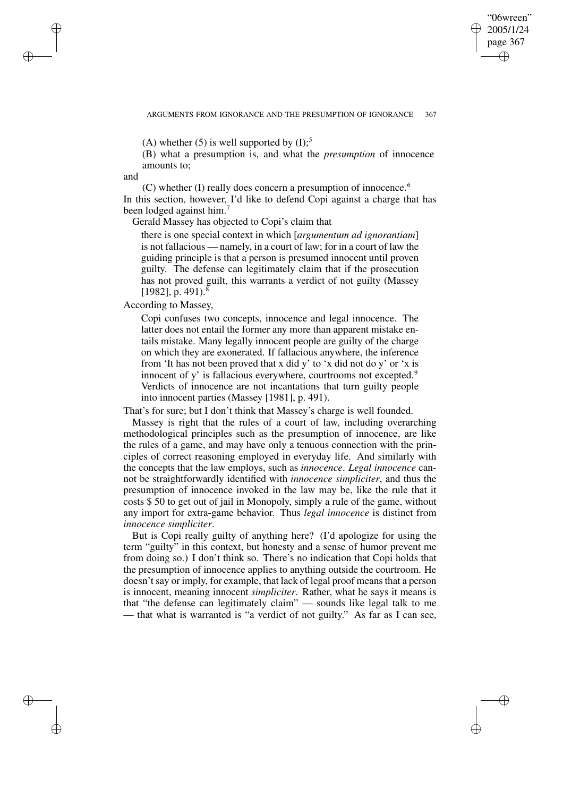✐

✐

(A) whether (5) is well supported by  $(I)$ ;<sup>5</sup>

(B) what a presumption is, and what the *presumption* of innocence amounts to;

and

✐

✐

✐

✐

 $(C)$  whether (I) really does concern a presumption of innocence.<sup>6</sup> In this section, however, I'd like to defend Copi against a charge that has been lodged against him.<sup>7</sup>

Gerald Massey has objected to Copi's claim that

there is one special context in which [*argumentum ad ignorantiam*] is not fallacious — namely, in a court of law; for in a court of law the guiding principle is that a person is presumed innocent until proven guilty. The defense can legitimately claim that if the prosecution has not proved guilt, this warrants a verdict of not guilty (Massey [1982], p. 491).<sup>8</sup>

According to Massey,

Copi confuses two concepts, innocence and legal innocence. The latter does not entail the former any more than apparent mistake entails mistake. Many legally innocent people are guilty of the charge on which they are exonerated. If fallacious anywhere, the inference from 'It has not been proved that x did y' to 'x did not do y' or 'x is innocent of y' is fallacious everywhere, courtrooms not excepted.<sup>9</sup> Verdicts of innocence are not incantations that turn guilty people into innocent parties (Massey [1981], p. 491).

That's for sure; but I don't think that Massey's charge is well founded.

Massey is right that the rules of a court of law, including overarching methodological principles such as the presumption of innocence, are like the rules of a game, and may have only a tenuous connection with the principles of correct reasoning employed in everyday life. And similarly with the concepts that the law employs, such as *innocence*. *Legal innocence* cannot be straightforwardly identified with *innocence simpliciter*, and thus the presumption of innocence invoked in the law may be, like the rule that it costs \$ 50 to get out of jail in Monopoly, simply a rule of the game, without any import for extra-game behavior. Thus *legal innocence* is distinct from *innocence simpliciter*.

But is Copi really guilty of anything here? (I'd apologize for using the term "guilty" in this context, but honesty and a sense of humor prevent me from doing so.) I don't think so. There's no indication that Copi holds that the presumption of innocence applies to anything outside the courtroom. He doesn't say or imply, for example, that lack of legal proof means that a person is innocent, meaning innocent *simpliciter*. Rather, what he says it means is that "the defense can legitimately claim" — sounds like legal talk to me — that what is warranted is "a verdict of not guilty." As far as I can see,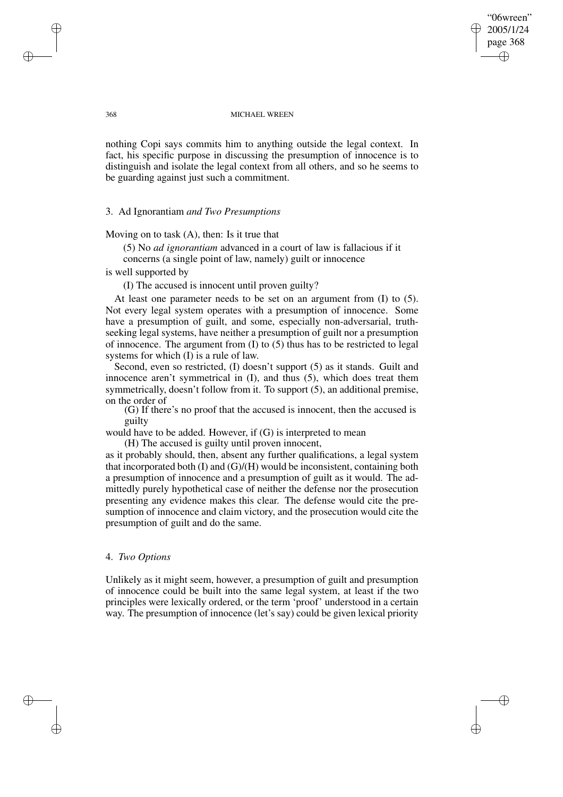"06wreen" 2005/1/24 page 368 ✐ ✐

✐

✐

#### 368 MICHAEL WREEN

nothing Copi says commits him to anything outside the legal context. In fact, his specific purpose in discussing the presumption of innocence is to distinguish and isolate the legal context from all others, and so he seems to be guarding against just such a commitment.

# 3. Ad Ignorantiam *and Two Presumptions*

Moving on to task (A), then: Is it true that

(5) No *ad ignorantiam* advanced in a court of law is fallacious if it concerns (a single point of law, namely) guilt or innocence

is well supported by

(I) The accused is innocent until proven guilty?

At least one parameter needs to be set on an argument from (I) to (5). Not every legal system operates with a presumption of innocence. Some have a presumption of guilt, and some, especially non-adversarial, truthseeking legal systems, have neither a presumption of guilt nor a presumption of innocence. The argument from (I) to (5) thus has to be restricted to legal systems for which (I) is a rule of law.

Second, even so restricted, (I) doesn't support (5) as it stands. Guilt and innocence aren't symmetrical in (I), and thus (5), which does treat them symmetrically, doesn't follow from it. To support (5), an additional premise, on the order of

(G) If there's no proof that the accused is innocent, then the accused is guilty

would have to be added. However, if (G) is interpreted to mean

(H) The accused is guilty until proven innocent,

as it probably should, then, absent any further qualifications, a legal system that incorporated both  $(I)$  and  $(G)/(H)$  would be inconsistent, containing both a presumption of innocence and a presumption of guilt as it would. The admittedly purely hypothetical case of neither the defense nor the prosecution presenting any evidence makes this clear. The defense would cite the presumption of innocence and claim victory, and the prosecution would cite the presumption of guilt and do the same.

# 4. *Two Options*

Unlikely as it might seem, however, a presumption of guilt and presumption of innocence could be built into the same legal system, at least if the two principles were lexically ordered, or the term 'proof' understood in a certain way. The presumption of innocence (let's say) could be given lexical priority

✐

✐

✐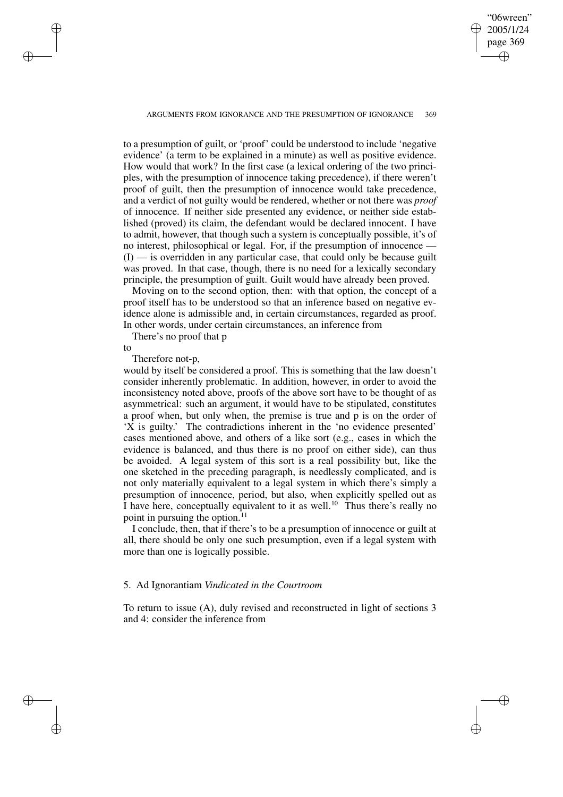2005/1/24 page 369 ✐ ✐

"06wreen"

✐

✐

ARGUMENTS FROM IGNORANCE AND THE PRESUMPTION OF IGNORANCE 369

to a presumption of guilt, or 'proof' could be understood to include 'negative evidence' (a term to be explained in a minute) as well as positive evidence. How would that work? In the first case (a lexical ordering of the two principles, with the presumption of innocence taking precedence), if there weren't proof of guilt, then the presumption of innocence would take precedence, and a verdict of not guilty would be rendered, whether or not there was *proof* of innocence. If neither side presented any evidence, or neither side established (proved) its claim, the defendant would be declared innocent. I have to admit, however, that though such a system is conceptually possible, it's of no interest, philosophical or legal. For, if the presumption of innocence — (I) — is overridden in any particular case, that could only be because guilt was proved. In that case, though, there is no need for a lexically secondary principle, the presumption of guilt. Guilt would have already been proved.

Moving on to the second option, then: with that option, the concept of a proof itself has to be understood so that an inference based on negative evidence alone is admissible and, in certain circumstances, regarded as proof. In other words, under certain circumstances, an inference from

There's no proof that p

to

✐

✐

✐

✐

Therefore not-p,

would by itself be considered a proof. This is something that the law doesn't consider inherently problematic. In addition, however, in order to avoid the inconsistency noted above, proofs of the above sort have to be thought of as asymmetrical: such an argument, it would have to be stipulated, constitutes a proof when, but only when, the premise is true and p is on the order of 'X is guilty.' The contradictions inherent in the 'no evidence presented' cases mentioned above, and others of a like sort (e.g., cases in which the evidence is balanced, and thus there is no proof on either side), can thus be avoided. A legal system of this sort is a real possibility but, like the one sketched in the preceding paragraph, is needlessly complicated, and is not only materially equivalent to a legal system in which there's simply a presumption of innocence, period, but also, when explicitly spelled out as I have here, conceptually equivalent to it as well.<sup>10</sup> Thus there's really no point in pursuing the option. $^{11}$ 

I conclude, then, that if there's to be a presumption of innocence or guilt at all, there should be only one such presumption, even if a legal system with more than one is logically possible.

### 5. Ad Ignorantiam *Vindicated in the Courtroom*

To return to issue (A), duly revised and reconstructed in light of sections 3 and 4: consider the inference from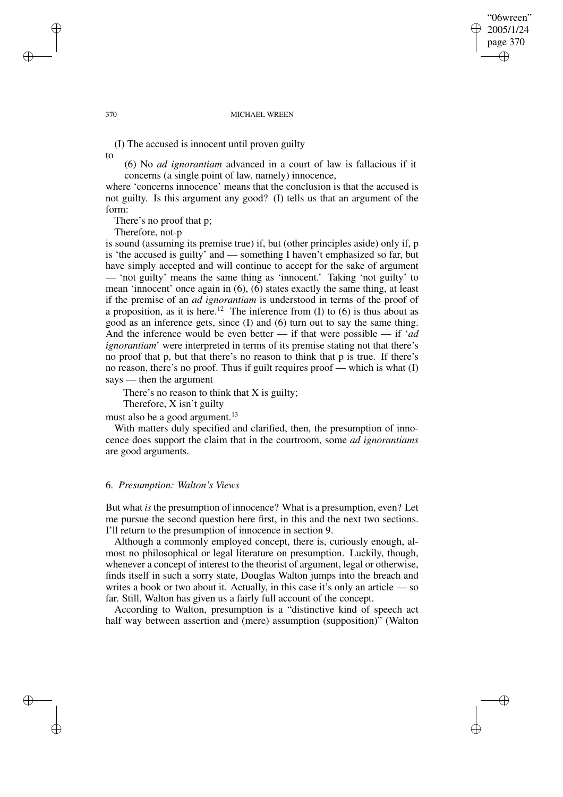### "06wreen" 2005/1/24 page 370 ✐ ✐

✐

✐

#### 370 MICHAEL WREEN

(I) The accused is innocent until proven guilty

to

(6) No *ad ignorantiam* advanced in a court of law is fallacious if it concerns (a single point of law, namely) innocence,

where 'concerns innocence' means that the conclusion is that the accused is not guilty. Is this argument any good? (I) tells us that an argument of the form:

There's no proof that p;

Therefore, not-p

is sound (assuming its premise true) if, but (other principles aside) only if, p is 'the accused is guilty' and — something I haven't emphasized so far, but have simply accepted and will continue to accept for the sake of argument — 'not guilty' means the same thing as 'innocent.' Taking 'not guilty' to mean 'innocent' once again in (6), (6) states exactly the same thing, at least if the premise of an *ad ignorantiam* is understood in terms of the proof of a proposition, as it is here.<sup>12</sup> The inference from (I) to (6) is thus about as good as an inference gets, since (I) and (6) turn out to say the same thing. And the inference would be even better — if that were possible — if '*ad ignorantiam*' were interpreted in terms of its premise stating not that there's no proof that p, but that there's no reason to think that p is true. If there's no reason, there's no proof. Thus if guilt requires proof — which is what (I) says — then the argument

There's no reason to think that X is guilty;

Therefore, X isn't guilty

must also be a good argument.<sup>13</sup>

With matters duly specified and clarified, then, the presumption of innocence does support the claim that in the courtroom, some *ad ignorantiams* are good arguments.

### 6. *Presumption: Walton's Views*

But what *is* the presumption of innocence? What is a presumption, even? Let me pursue the second question here first, in this and the next two sections. I'll return to the presumption of innocence in section 9.

Although a commonly employed concept, there is, curiously enough, almost no philosophical or legal literature on presumption. Luckily, though, whenever a concept of interest to the theorist of argument, legal or otherwise, finds itself in such a sorry state, Douglas Walton jumps into the breach and writes a book or two about it. Actually, in this case it's only an article — so far. Still, Walton has given us a fairly full account of the concept.

According to Walton, presumption is a "distinctive kind of speech act half way between assertion and (mere) assumption (supposition)" (Walton

✐

✐

✐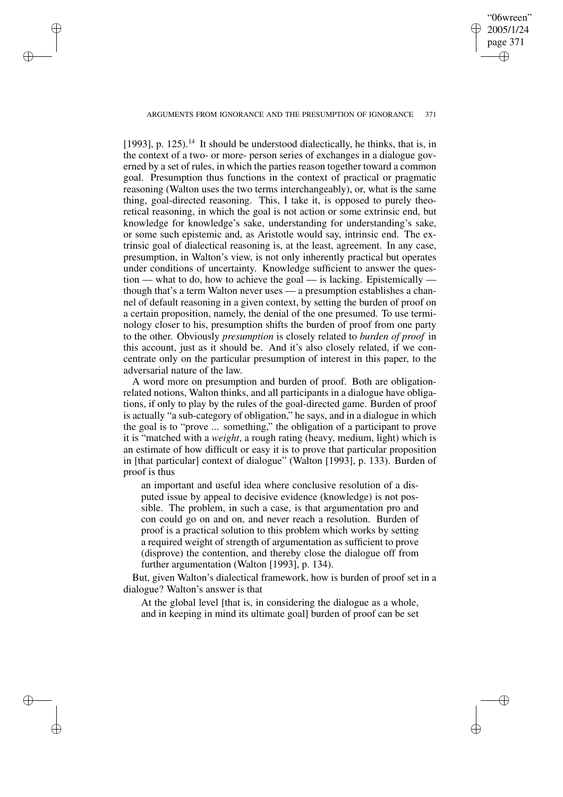ARGUMENTS FROM IGNORANCE AND THE PRESUMPTION OF IGNORANCE 371

✐

✐

✐

✐

"06wreen" 2005/1/24 page 371

✐

✐

✐

✐

[1993], p. 125).<sup>14</sup> It should be understood dialectically, he thinks, that is, in the context of a two- or more- person series of exchanges in a dialogue governed by a set of rules, in which the parties reason together toward a common goal. Presumption thus functions in the context of practical or pragmatic reasoning (Walton uses the two terms interchangeably), or, what is the same thing, goal-directed reasoning. This, I take it, is opposed to purely theoretical reasoning, in which the goal is not action or some extrinsic end, but knowledge for knowledge's sake, understanding for understanding's sake, or some such epistemic and, as Aristotle would say, intrinsic end. The extrinsic goal of dialectical reasoning is, at the least, agreement. In any case, presumption, in Walton's view, is not only inherently practical but operates under conditions of uncertainty. Knowledge sufficient to answer the question — what to do, how to achieve the goal — is lacking. Epistemically though that's a term Walton never uses — a presumption establishes a channel of default reasoning in a given context, by setting the burden of proof on a certain proposition, namely, the denial of the one presumed. To use terminology closer to his, presumption shifts the burden of proof from one party to the other. Obviously *presumption* is closely related to *burden of proof* in this account, just as it should be. And it's also closely related, if we concentrate only on the particular presumption of interest in this paper, to the adversarial nature of the law.

A word more on presumption and burden of proof. Both are obligationrelated notions, Walton thinks, and all participants in a dialogue have obligations, if only to play by the rules of the goal-directed game. Burden of proof is actually "a sub-category of obligation," he says, and in a dialogue in which the goal is to "prove ... something," the obligation of a participant to prove it is "matched with a *weight*, a rough rating (heavy, medium, light) which is an estimate of how difficult or easy it is to prove that particular proposition in [that particular] context of dialogue" (Walton [1993], p. 133). Burden of proof is thus

an important and useful idea where conclusive resolution of a disputed issue by appeal to decisive evidence (knowledge) is not possible. The problem, in such a case, is that argumentation pro and con could go on and on, and never reach a resolution. Burden of proof is a practical solution to this problem which works by setting a required weight of strength of argumentation as sufficient to prove (disprove) the contention, and thereby close the dialogue off from further argumentation (Walton [1993], p. 134).

But, given Walton's dialectical framework, how is burden of proof set in a dialogue? Walton's answer is that

At the global level [that is, in considering the dialogue as a whole, and in keeping in mind its ultimate goal] burden of proof can be set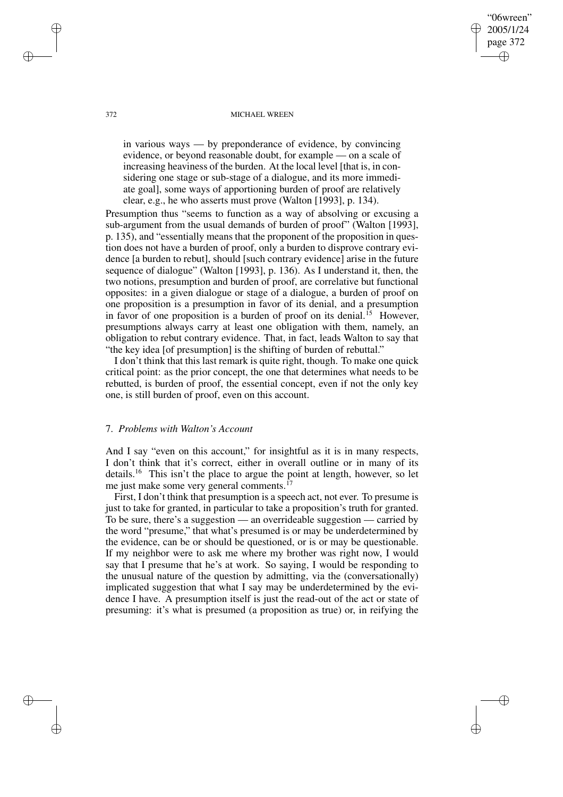#### 372 MICHAEL WREEN

"06wreen" 2005/1/24 page 372

✐

✐

✐

✐

in various ways — by preponderance of evidence, by convincing evidence, or beyond reasonable doubt, for example — on a scale of increasing heaviness of the burden. At the local level [that is, in considering one stage or sub-stage of a dialogue, and its more immediate goal], some ways of apportioning burden of proof are relatively clear, e.g., he who asserts must prove (Walton [1993], p. 134).

Presumption thus "seems to function as a way of absolving or excusing a sub-argument from the usual demands of burden of proof" (Walton [1993], p. 135), and "essentially means that the proponent of the proposition in question does not have a burden of proof, only a burden to disprove contrary evidence [a burden to rebut], should [such contrary evidence] arise in the future sequence of dialogue" (Walton [1993], p. 136). As I understand it, then, the two notions, presumption and burden of proof, are correlative but functional opposites: in a given dialogue or stage of a dialogue, a burden of proof on one proposition is a presumption in favor of its denial, and a presumption in favor of one proposition is a burden of proof on its denial.<sup>15</sup> However, presumptions always carry at least one obligation with them, namely, an obligation to rebut contrary evidence. That, in fact, leads Walton to say that "the key idea [of presumption] is the shifting of burden of rebuttal."

I don't think that this last remark is quite right, though. To make one quick critical point: as the prior concept, the one that determines what needs to be rebutted, is burden of proof, the essential concept, even if not the only key one, is still burden of proof, even on this account.

# 7. *Problems with Walton's Account*

And I say "even on this account," for insightful as it is in many respects, I don't think that it's correct, either in overall outline or in many of its details.<sup>16</sup> This isn't the place to argue the point at length, however, so let me just make some very general comments.<sup>17</sup>

First, I don't think that presumption is a speech act, not ever. To presume is just to take for granted, in particular to take a proposition's truth for granted. To be sure, there's a suggestion — an overrideable suggestion — carried by the word "presume," that what's presumed is or may be underdetermined by the evidence, can be or should be questioned, or is or may be questionable. If my neighbor were to ask me where my brother was right now, I would say that I presume that he's at work. So saying, I would be responding to the unusual nature of the question by admitting, via the (conversationally) implicated suggestion that what I say may be underdetermined by the evidence I have. A presumption itself is just the read-out of the act or state of presuming: it's what is presumed (a proposition as true) or, in reifying the

✐

✐

✐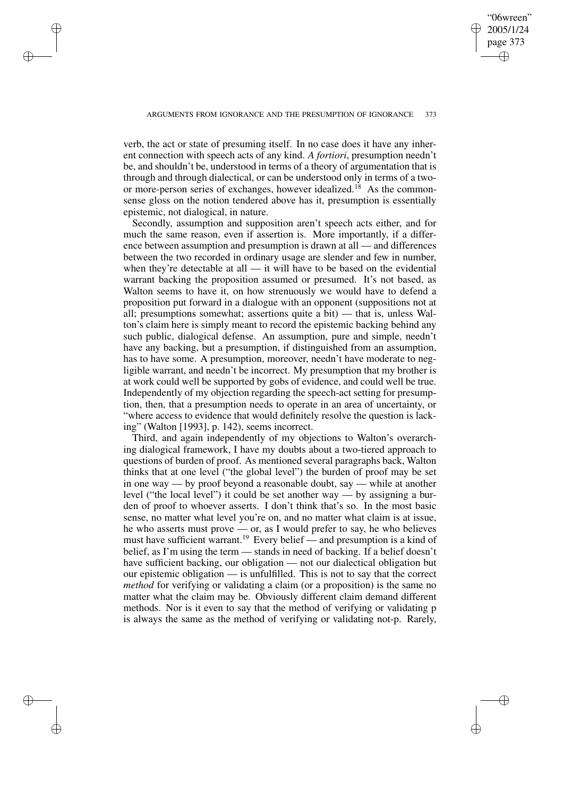✐

✐

✐

✐

✐

✐

verb, the act or state of presuming itself. In no case does it have any inherent connection with speech acts of any kind. *A fortiori*, presumption needn't be, and shouldn't be, understood in terms of a theory of argumentation that is through and through dialectical, or can be understood only in terms of a twoor more-person series of exchanges, however idealized.<sup>18</sup> As the commonsense gloss on the notion tendered above has it, presumption is essentially epistemic, not dialogical, in nature.

Secondly, assumption and supposition aren't speech acts either, and for much the same reason, even if assertion is. More importantly, if a difference between assumption and presumption is drawn at all — and differences between the two recorded in ordinary usage are slender and few in number, when they're detectable at all — it will have to be based on the evidential warrant backing the proposition assumed or presumed. It's not based, as Walton seems to have it, on how strenuously we would have to defend a proposition put forward in a dialogue with an opponent (suppositions not at all; presumptions somewhat; assertions quite a bit) — that is, unless Walton's claim here is simply meant to record the epistemic backing behind any such public, dialogical defense. An assumption, pure and simple, needn't have any backing, but a presumption, if distinguished from an assumption, has to have some. A presumption, moreover, needn't have moderate to negligible warrant, and needn't be incorrect. My presumption that my brother is at work could well be supported by gobs of evidence, and could well be true. Independently of my objection regarding the speech-act setting for presumption, then, that a presumption needs to operate in an area of uncertainty, or "where access to evidence that would definitely resolve the question is lacking" (Walton [1993], p. 142), seems incorrect.

Third, and again independently of my objections to Walton's overarching dialogical framework, I have my doubts about a two-tiered approach to questions of burden of proof. As mentioned several paragraphs back, Walton thinks that at one level ("the global level") the burden of proof may be set in one way — by proof beyond a reasonable doubt, say — while at another level ("the local level") it could be set another way — by assigning a burden of proof to whoever asserts. I don't think that's so. In the most basic sense, no matter what level you're on, and no matter what claim is at issue, he who asserts must prove — or, as I would prefer to say, he who believes must have sufficient warrant.<sup>19</sup> Every belief — and presumption is a kind of belief, as I'm using the term — stands in need of backing. If a belief doesn't have sufficient backing, our obligation — not our dialectical obligation but our epistemic obligation — is unfulfilled. This is not to say that the correct *method* for verifying or validating a claim (or a proposition) is the same no matter what the claim may be. Obviously different claim demand different methods. Nor is it even to say that the method of verifying or validating p is always the same as the method of verifying or validating not-p. Rarely,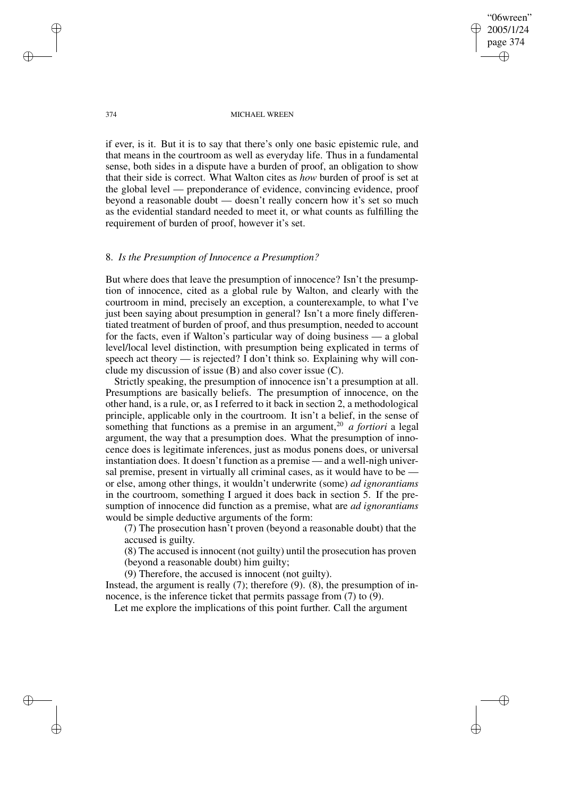✐

✐

#### 374 MICHAEL WREEN

if ever, is it. But it is to say that there's only one basic epistemic rule, and that means in the courtroom as well as everyday life. Thus in a fundamental sense, both sides in a dispute have a burden of proof, an obligation to show that their side is correct. What Walton cites as *how* burden of proof is set at the global level — preponderance of evidence, convincing evidence, proof beyond a reasonable doubt — doesn't really concern how it's set so much as the evidential standard needed to meet it, or what counts as fulfilling the requirement of burden of proof, however it's set.

### 8. *Is the Presumption of Innocence a Presumption?*

But where does that leave the presumption of innocence? Isn't the presumption of innocence, cited as a global rule by Walton, and clearly with the courtroom in mind, precisely an exception, a counterexample, to what I've just been saying about presumption in general? Isn't a more finely differentiated treatment of burden of proof, and thus presumption, needed to account for the facts, even if Walton's particular way of doing business — a global level/local level distinction, with presumption being explicated in terms of speech act theory — is rejected? I don't think so. Explaining why will conclude my discussion of issue (B) and also cover issue (C).

Strictly speaking, the presumption of innocence isn't a presumption at all. Presumptions are basically beliefs. The presumption of innocence, on the other hand, is a rule, or, as I referred to it back in section 2, a methodological principle, applicable only in the courtroom. It isn't a belief, in the sense of something that functions as a premise in an argument,<sup>20</sup> *a fortiori* a legal argument, the way that a presumption does. What the presumption of innocence does is legitimate inferences, just as modus ponens does, or universal instantiation does. It doesn't function as a premise — and a well-nigh universal premise, present in virtually all criminal cases, as it would have to be or else, among other things, it wouldn't underwrite (some) *ad ignorantiams* in the courtroom, something I argued it does back in section 5. If the presumption of innocence did function as a premise, what are *ad ignorantiams* would be simple deductive arguments of the form:

(7) The prosecution hasn't proven (beyond a reasonable doubt) that the accused is guilty.

(8) The accused is innocent (not guilty) until the prosecution has proven (beyond a reasonable doubt) him guilty;

(9) Therefore, the accused is innocent (not guilty).

Instead, the argument is really (7); therefore (9). (8), the presumption of innocence, is the inference ticket that permits passage from (7) to (9).

Let me explore the implications of this point further. Call the argument

✐

✐

✐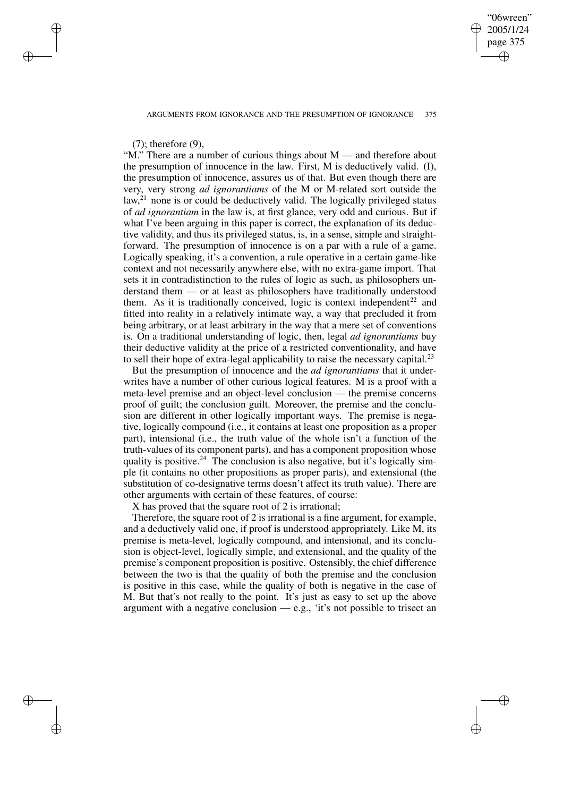"06wreen" 2005/1/24 page 375 ✐ ✐

✐

✐

# (7); therefore (9),

✐

✐

✐

✐

"M." There are a number of curious things about M — and therefore about the presumption of innocence in the law. First, M is deductively valid. (I), the presumption of innocence, assures us of that. But even though there are very, very strong *ad ignorantiams* of the M or M-related sort outside the law,<sup>21</sup> none is or could be deductively valid. The logically privileged status of *ad ignorantiam* in the law is, at first glance, very odd and curious. But if what I've been arguing in this paper is correct, the explanation of its deductive validity, and thus its privileged status, is, in a sense, simple and straightforward. The presumption of innocence is on a par with a rule of a game. Logically speaking, it's a convention, a rule operative in a certain game-like context and not necessarily anywhere else, with no extra-game import. That sets it in contradistinction to the rules of logic as such, as philosophers understand them — or at least as philosophers have traditionally understood them. As it is traditionally conceived, logic is context independent<sup>22</sup> and fitted into reality in a relatively intimate way, a way that precluded it from being arbitrary, or at least arbitrary in the way that a mere set of conventions is. On a traditional understanding of logic, then, legal *ad ignorantiams* buy their deductive validity at the price of a restricted conventionality, and have to sell their hope of extra-legal applicability to raise the necessary capital.<sup>23</sup>

But the presumption of innocence and the *ad ignorantiams* that it underwrites have a number of other curious logical features. M is a proof with a meta-level premise and an object-level conclusion — the premise concerns proof of guilt; the conclusion guilt. Moreover, the premise and the conclusion are different in other logically important ways. The premise is negative, logically compound (i.e., it contains at least one proposition as a proper part), intensional (i.e., the truth value of the whole isn't a function of the truth-values of its component parts), and has a component proposition whose quality is positive.<sup>24</sup> The conclusion is also negative, but it's logically simple (it contains no other propositions as proper parts), and extensional (the substitution of co-designative terms doesn't affect its truth value). There are other arguments with certain of these features, of course:

X has proved that the square root of 2 is irrational;

Therefore, the square root of 2 is irrational is a fine argument, for example, and a deductively valid one, if proof is understood appropriately. Like M, its premise is meta-level, logically compound, and intensional, and its conclusion is object-level, logically simple, and extensional, and the quality of the premise's component proposition is positive. Ostensibly, the chief difference between the two is that the quality of both the premise and the conclusion is positive in this case, while the quality of both is negative in the case of M. But that's not really to the point. It's just as easy to set up the above argument with a negative conclusion  $-e.g., 'it's not possible to trisect an$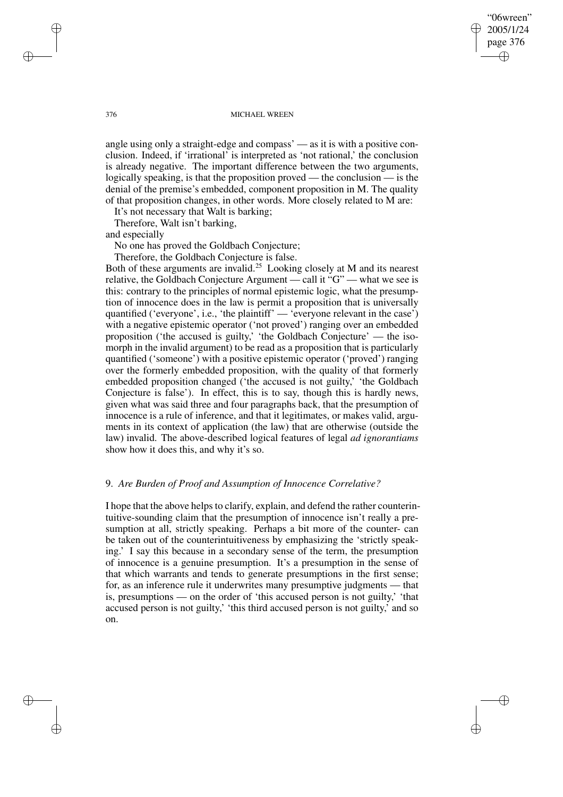"06wreen" 2005/1/24 page 376 ✐ ✐

✐

✐

#### 376 MICHAEL WREEN

angle using only a straight-edge and compass' — as it is with a positive conclusion. Indeed, if 'irrational' is interpreted as 'not rational,' the conclusion is already negative. The important difference between the two arguments, logically speaking, is that the proposition proved — the conclusion — is the denial of the premise's embedded, component proposition in M. The quality of that proposition changes, in other words. More closely related to M are:

It's not necessary that Walt is barking;

Therefore, Walt isn't barking,

and especially

No one has proved the Goldbach Conjecture;

Therefore, the Goldbach Conjecture is false.

Both of these arguments are invalid.<sup>25</sup> Looking closely at M and its nearest relative, the Goldbach Conjecture Argument — call it "G" — what we see is this: contrary to the principles of normal epistemic logic, what the presumption of innocence does in the law is permit a proposition that is universally quantified ('everyone', i.e., 'the plaintiff' — 'everyone relevant in the case') with a negative epistemic operator ('not proved') ranging over an embedded proposition ('the accused is guilty,' 'the Goldbach Conjecture' — the isomorph in the invalid argument) to be read as a proposition that is particularly quantified ('someone') with a positive epistemic operator ('proved') ranging over the formerly embedded proposition, with the quality of that formerly embedded proposition changed ('the accused is not guilty,' 'the Goldbach Conjecture is false'). In effect, this is to say, though this is hardly news, given what was said three and four paragraphs back, that the presumption of innocence is a rule of inference, and that it legitimates, or makes valid, arguments in its context of application (the law) that are otherwise (outside the law) invalid. The above-described logical features of legal *ad ignorantiams* show how it does this, and why it's so.

# 9. *Are Burden of Proof and Assumption of Innocence Correlative?*

I hope that the above helps to clarify, explain, and defend the rather counterintuitive-sounding claim that the presumption of innocence isn't really a presumption at all, strictly speaking. Perhaps a bit more of the counter- can be taken out of the counterintuitiveness by emphasizing the 'strictly speaking.' I say this because in a secondary sense of the term, the presumption of innocence is a genuine presumption. It's a presumption in the sense of that which warrants and tends to generate presumptions in the first sense; for, as an inference rule it underwrites many presumptive judgments — that is, presumptions — on the order of 'this accused person is not guilty,' 'that accused person is not guilty,' 'this third accused person is not guilty,' and so on.

✐

✐

✐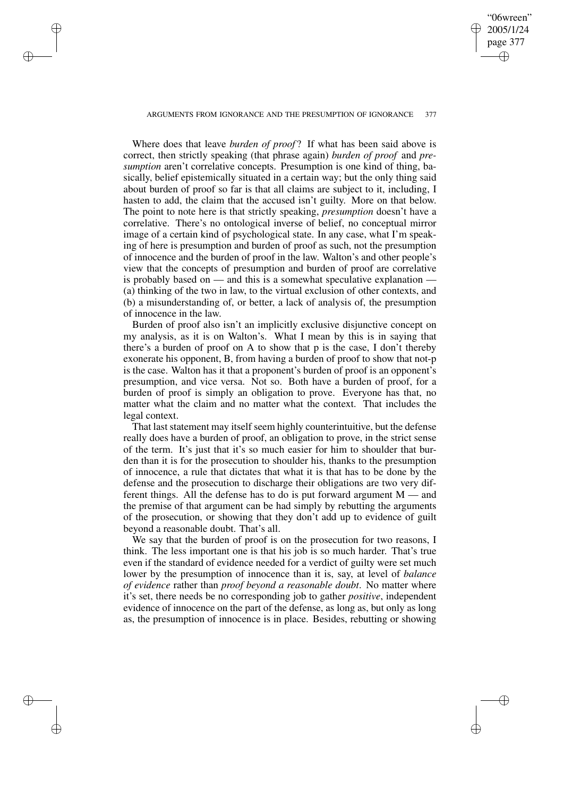# ARGUMENTS FROM IGNORANCE AND THE PRESUMPTION OF IGNORANCE 377

✐

✐

✐

✐

"06wreen" 2005/1/24 page 377

✐

✐

✐

✐

Where does that leave *burden of proof* ? If what has been said above is correct, then strictly speaking (that phrase again) *burden of proof* and *presumption* aren't correlative concepts. Presumption is one kind of thing, basically, belief epistemically situated in a certain way; but the only thing said about burden of proof so far is that all claims are subject to it, including, I hasten to add, the claim that the accused isn't guilty. More on that below. The point to note here is that strictly speaking, *presumption* doesn't have a correlative. There's no ontological inverse of belief, no conceptual mirror image of a certain kind of psychological state. In any case, what I'm speaking of here is presumption and burden of proof as such, not the presumption of innocence and the burden of proof in the law. Walton's and other people's view that the concepts of presumption and burden of proof are correlative is probably based on — and this is a somewhat speculative explanation — (a) thinking of the two in law, to the virtual exclusion of other contexts, and (b) a misunderstanding of, or better, a lack of analysis of, the presumption of innocence in the law.

Burden of proof also isn't an implicitly exclusive disjunctive concept on my analysis, as it is on Walton's. What I mean by this is in saying that there's a burden of proof on A to show that p is the case, I don't thereby exonerate his opponent, B, from having a burden of proof to show that not-p is the case. Walton has it that a proponent's burden of proof is an opponent's presumption, and vice versa. Not so. Both have a burden of proof, for a burden of proof is simply an obligation to prove. Everyone has that, no matter what the claim and no matter what the context. That includes the legal context.

That last statement may itself seem highly counterintuitive, but the defense really does have a burden of proof, an obligation to prove, in the strict sense of the term. It's just that it's so much easier for him to shoulder that burden than it is for the prosecution to shoulder his, thanks to the presumption of innocence, a rule that dictates that what it is that has to be done by the defense and the prosecution to discharge their obligations are two very different things. All the defense has to do is put forward argument M — and the premise of that argument can be had simply by rebutting the arguments of the prosecution, or showing that they don't add up to evidence of guilt beyond a reasonable doubt. That's all.

We say that the burden of proof is on the prosecution for two reasons, I think. The less important one is that his job is so much harder. That's true even if the standard of evidence needed for a verdict of guilty were set much lower by the presumption of innocence than it is, say, at level of *balance of evidence* rather than *proof beyond a reasonable doubt*. No matter where it's set, there needs be no corresponding job to gather *positive*, independent evidence of innocence on the part of the defense, as long as, but only as long as, the presumption of innocence is in place. Besides, rebutting or showing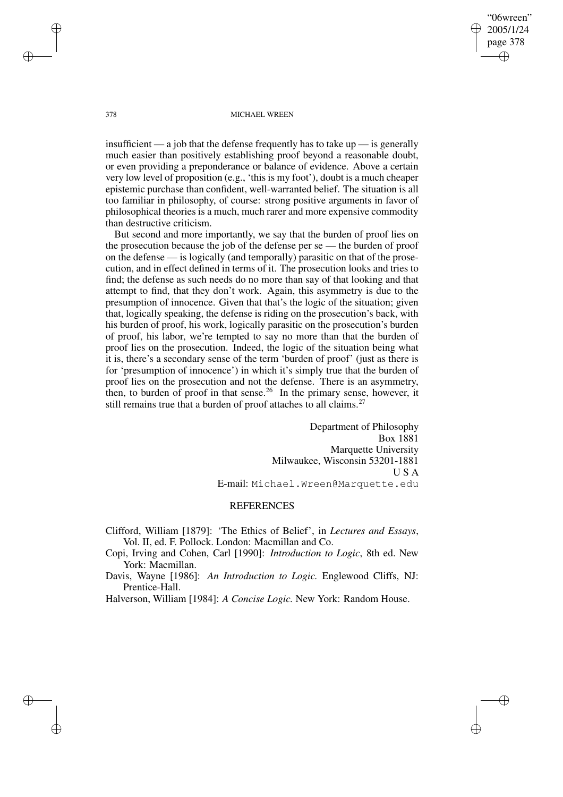"06wreen" 2005/1/24 page 378 ✐ ✐

✐

✐

#### 378 MICHAEL WREEN

insufficient — a job that the defense frequently has to take  $up$  — is generally much easier than positively establishing proof beyond a reasonable doubt, or even providing a preponderance or balance of evidence. Above a certain very low level of proposition (e.g., 'this is my foot'), doubt is a much cheaper epistemic purchase than confident, well-warranted belief. The situation is all too familiar in philosophy, of course: strong positive arguments in favor of philosophical theories is a much, much rarer and more expensive commodity than destructive criticism.

But second and more importantly, we say that the burden of proof lies on the prosecution because the job of the defense per se — the burden of proof on the defense — is logically (and temporally) parasitic on that of the prosecution, and in effect defined in terms of it. The prosecution looks and tries to find; the defense as such needs do no more than say of that looking and that attempt to find, that they don't work. Again, this asymmetry is due to the presumption of innocence. Given that that's the logic of the situation; given that, logically speaking, the defense is riding on the prosecution's back, with his burden of proof, his work, logically parasitic on the prosecution's burden of proof, his labor, we're tempted to say no more than that the burden of proof lies on the prosecution. Indeed, the logic of the situation being what it is, there's a secondary sense of the term 'burden of proof' (just as there is for 'presumption of innocence') in which it's simply true that the burden of proof lies on the prosecution and not the defense. There is an asymmetry, then, to burden of proof in that sense.<sup>26</sup> In the primary sense, however, it still remains true that a burden of proof attaches to all claims.<sup>27</sup>

> Department of Philosophy Box 1881 Marquette University Milwaukee, Wisconsin 53201-1881 U S A E-mail: Michael.Wreen@Marquette.edu

# **REFERENCES**

Clifford, William [1879]: 'The Ethics of Belief', in *Lectures and Essays*, Vol. II, ed. F. Pollock. London: Macmillan and Co.

Copi, Irving and Cohen, Carl [1990]: *Introduction to Logic*, 8th ed. New York: Macmillan.

Davis, Wayne [1986]: *An Introduction to Logic.* Englewood Cliffs, NJ: Prentice-Hall.

Halverson, William [1984]: *A Concise Logic.* New York: Random House.

✐

✐

✐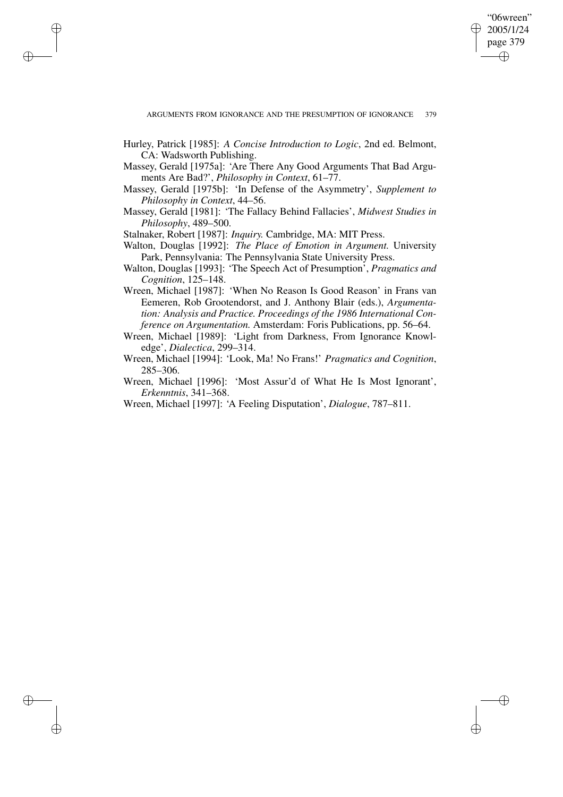"06wreen" 2005/1/24 page 379 ✐ ✐

✐

✐

- Hurley, Patrick [1985]: *A Concise Introduction to Logic*, 2nd ed. Belmont, CA: Wadsworth Publishing.
- Massey, Gerald [1975a]: 'Are There Any Good Arguments That Bad Arguments Are Bad?', *Philosophy in Context*, 61–77.
- Massey, Gerald [1975b]: 'In Defense of the Asymmetry', *Supplement to Philosophy in Context*, 44–56.
- Massey, Gerald [1981]: 'The Fallacy Behind Fallacies', *Midwest Studies in Philosophy*, 489–500.

Stalnaker, Robert [1987]: *Inquiry.* Cambridge, MA: MIT Press.

✐

✐

✐

- Walton, Douglas [1992]: *The Place of Emotion in Argument.* University Park, Pennsylvania: The Pennsylvania State University Press.
- Walton, Douglas [1993]: 'The Speech Act of Presumption', *Pragmatics and Cognition*, 125–148.
- Wreen, Michael [1987]: 'When No Reason Is Good Reason' in Frans van Eemeren, Rob Grootendorst, and J. Anthony Blair (eds.), *Argumentation: Analysis and Practice. Proceedings of the 1986 International Conference on Argumentation.* Amsterdam: Foris Publications, pp. 56–64.
- Wreen, Michael [1989]: 'Light from Darkness, From Ignorance Knowledge', *Dialectica*, 299–314.
- Wreen, Michael [1994]: 'Look, Ma! No Frans!' *Pragmatics and Cognition*, 285–306.
- Wreen, Michael [1996]: 'Most Assur'd of What He Is Most Ignorant', *Erkenntnis*, 341–368.
- Wreen, Michael [1997]: 'A Feeling Disputation', *Dialogue*, 787–811.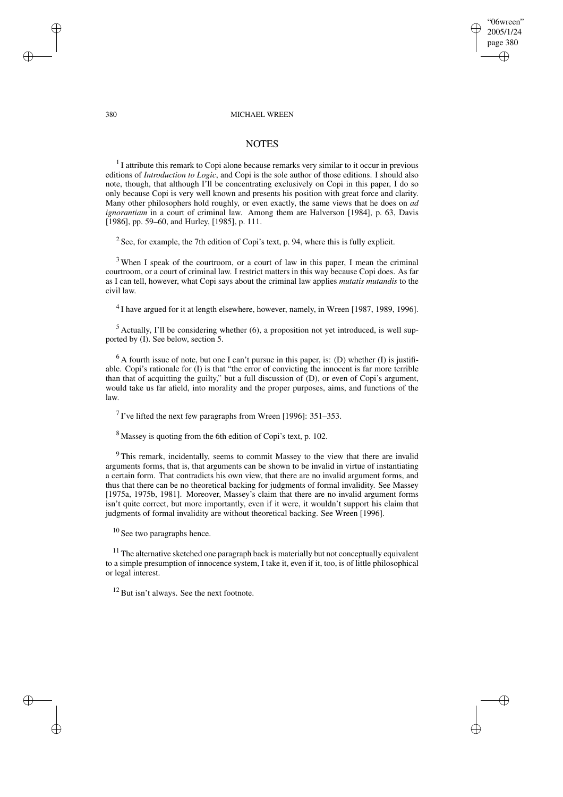#### 380 MICHAEL WREEN

"06wreen" 2005/1/24 page 380

✐

✐

✐

✐

### **NOTES**

 $<sup>1</sup>$  I attribute this remark to Copi alone because remarks very similar to it occur in previous</sup> editions of *Introduction to Logic*, and Copi is the sole author of those editions. I should also note, though, that although I'll be concentrating exclusively on Copi in this paper, I do so only because Copi is very well known and presents his position with great force and clarity. Many other philosophers hold roughly, or even exactly, the same views that he does on *ad ignorantiam* in a court of criminal law. Among them are Halverson [1984], p. 63, Davis [1986], pp. 59–60, and Hurley, [1985], p. 111.

<sup>2</sup> See, for example, the 7th edition of Copi's text, p. 94, where this is fully explicit.

<sup>3</sup> When I speak of the courtroom, or a court of law in this paper, I mean the criminal courtroom, or a court of criminal law. I restrict matters in this way because Copi does. As far as I can tell, however, what Copi says about the criminal law applies *mutatis mutandis* to the civil law.

 $^{4}$ I have argued for it at length elsewhere, however, namely, in Wreen [1987, 1989, 1996].

 $<sup>5</sup>$  Actually, I'll be considering whether (6), a proposition not yet introduced, is well sup-</sup> ported by (I). See below, section 5.

 $6$  A fourth issue of note, but one I can't pursue in this paper, is: (D) whether (I) is justifiable. Copi's rationale for (I) is that "the error of convicting the innocent is far more terrible than that of acquitting the guilty," but a full discussion of (D), or even of Copi's argument, would take us far afield, into morality and the proper purposes, aims, and functions of the law.

<sup>7</sup> I've lifted the next few paragraphs from Wreen [1996]:  $351-353$ .

<sup>8</sup> Massey is quoting from the 6th edition of Copi's text, p. 102.

<sup>9</sup> This remark, incidentally, seems to commit Massey to the view that there are invalid arguments forms, that is, that arguments can be shown to be invalid in virtue of instantiating a certain form. That contradicts his own view, that there are no invalid argument forms, and thus that there can be no theoretical backing for judgments of formal invalidity. See Massey [1975a, 1975b, 1981]. Moreover, Massey's claim that there are no invalid argument forms isn't quite correct, but more importantly, even if it were, it wouldn't support his claim that judgments of formal invalidity are without theoretical backing. See Wreen [1996].

 $10$  See two paragraphs hence.

 $11$  The alternative sketched one paragraph back is materially but not conceptually equivalent to a simple presumption of innocence system, I take it, even if it, too, is of little philosophical or legal interest.

 $12$  But isn't always. See the next footnote.

✐

✐

✐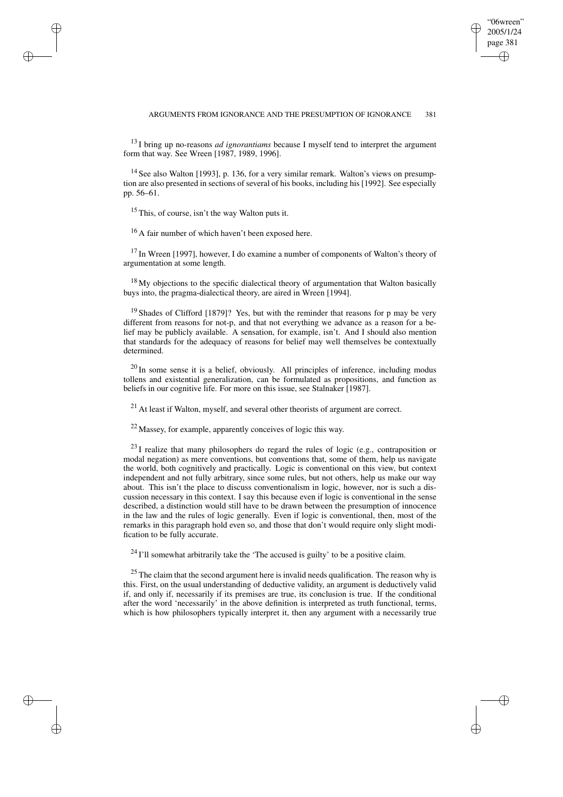### ARGUMENTS FROM IGNORANCE AND THE PRESUMPTION OF IGNORANCE 381

"06wreen" 2005/1/24 page 381

✐

✐

✐

✐

<sup>13</sup> I bring up no-reasons *ad ignorantiams* because I myself tend to interpret the argument form that way. See Wreen [1987, 1989, 1996].

<sup>14</sup> See also Walton [1993], p. 136, for a very similar remark. Walton's views on presumption are also presented in sections of several of his books, including his [1992]. See especially pp. 56–61.

 $15$  This, of course, isn't the way Walton puts it.

✐

✐

✐

✐

<sup>16</sup> A fair number of which haven't been exposed here.

<sup>17</sup> In Wreen [1997], however, I do examine a number of components of Walton's theory of argumentation at some length.

 $18$  My objections to the specific dialectical theory of argumentation that Walton basically buys into, the pragma-dialectical theory, are aired in Wreen [1994].

 $19$  Shades of Clifford [1879]? Yes, but with the reminder that reasons for p may be very different from reasons for not-p, and that not everything we advance as a reason for a belief may be publicly available. A sensation, for example, isn't. And I should also mention that standards for the adequacy of reasons for belief may well themselves be contextually determined.

 $^{20}$  In some sense it is a belief, obviously. All principles of inference, including modus tollens and existential generalization, can be formulated as propositions, and function as beliefs in our cognitive life. For more on this issue, see Stalnaker [1987].

 $^{21}$  At least if Walton, myself, and several other theorists of argument are correct.

<sup>22</sup> Massey, for example, apparently conceives of logic this way.

 $^{23}$ I realize that many philosophers do regard the rules of logic (e.g., contraposition or modal negation) as mere conventions, but conventions that, some of them, help us navigate the world, both cognitively and practically. Logic is conventional on this view, but context independent and not fully arbitrary, since some rules, but not others, help us make our way about. This isn't the place to discuss conventionalism in logic, however, nor is such a discussion necessary in this context. I say this because even if logic is conventional in the sense described, a distinction would still have to be drawn between the presumption of innocence in the law and the rules of logic generally. Even if logic is conventional, then, most of the remarks in this paragraph hold even so, and those that don't would require only slight modification to be fully accurate.

 $^{24}$  I'll somewhat arbitrarily take the 'The accused is guilty' to be a positive claim.

 $25$  The claim that the second argument here is invalid needs qualification. The reason why is this. First, on the usual understanding of deductive validity, an argument is deductively valid if, and only if, necessarily if its premises are true, its conclusion is true. If the conditional after the word 'necessarily' in the above definition is interpreted as truth functional, terms, which is how philosophers typically interpret it, then any argument with a necessarily true